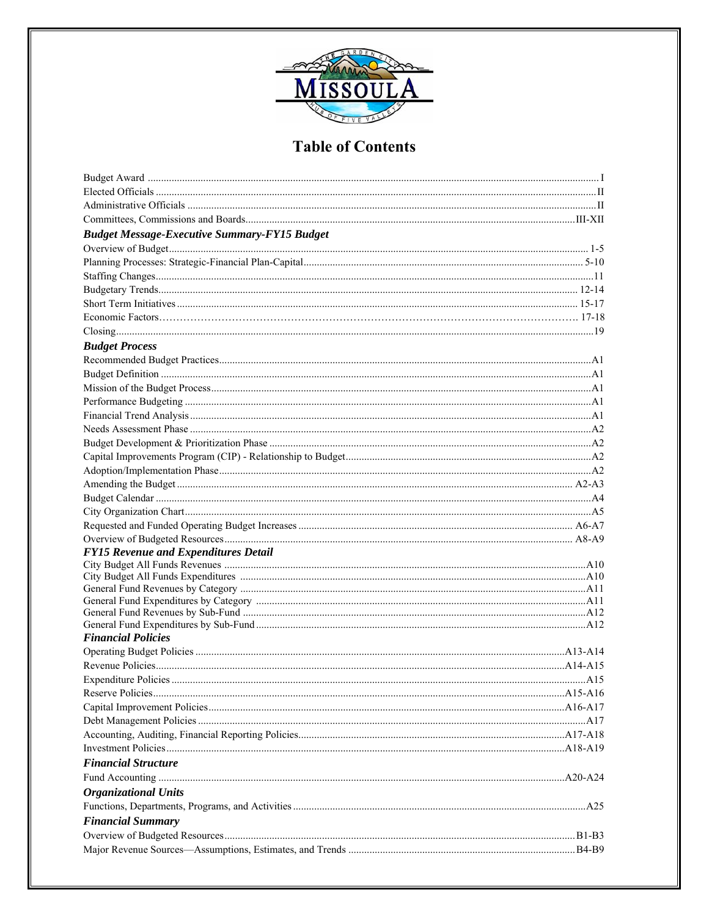

| <b>Budget Message-Executive Summary-FY15 Budget</b> |  |
|-----------------------------------------------------|--|
|                                                     |  |
|                                                     |  |
|                                                     |  |
|                                                     |  |
|                                                     |  |
|                                                     |  |
|                                                     |  |
| <b>Budget Process</b>                               |  |
|                                                     |  |
|                                                     |  |
|                                                     |  |
|                                                     |  |
|                                                     |  |
|                                                     |  |
|                                                     |  |
|                                                     |  |
|                                                     |  |
|                                                     |  |
|                                                     |  |
|                                                     |  |
|                                                     |  |
|                                                     |  |
| <b>FY15 Revenue and Expenditures Detail</b>         |  |
|                                                     |  |
|                                                     |  |
|                                                     |  |
|                                                     |  |
|                                                     |  |
| <b>Financial Policies</b>                           |  |
|                                                     |  |
|                                                     |  |
|                                                     |  |
|                                                     |  |
|                                                     |  |
|                                                     |  |
|                                                     |  |
|                                                     |  |
| <b>Financial Structure</b>                          |  |
|                                                     |  |
| <b>Organizational Units</b>                         |  |
|                                                     |  |
| <b>Financial Summary</b>                            |  |
|                                                     |  |
|                                                     |  |
|                                                     |  |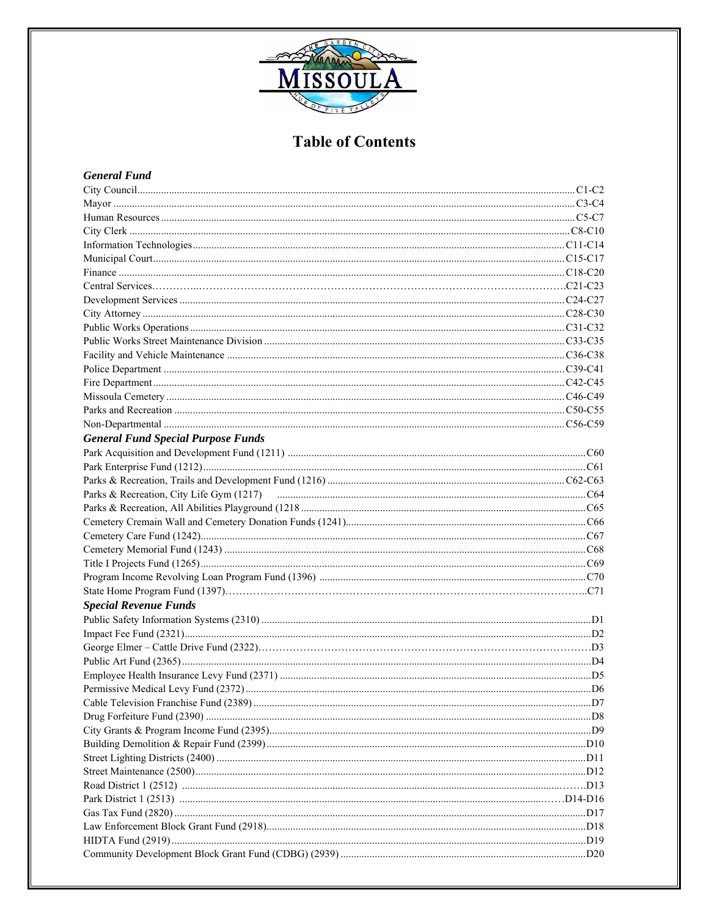

### **General Fund**

| Communication and C8-C10                  |  |
|-------------------------------------------|--|
|                                           |  |
|                                           |  |
|                                           |  |
|                                           |  |
|                                           |  |
|                                           |  |
|                                           |  |
|                                           |  |
|                                           |  |
|                                           |  |
|                                           |  |
|                                           |  |
|                                           |  |
|                                           |  |
| <b>General Fund Special Purpose Funds</b> |  |
|                                           |  |
|                                           |  |
|                                           |  |
|                                           |  |
|                                           |  |
|                                           |  |
|                                           |  |
|                                           |  |
|                                           |  |
|                                           |  |
|                                           |  |
| <b>Special Revenue Funds</b>              |  |
|                                           |  |
|                                           |  |
|                                           |  |
|                                           |  |
|                                           |  |
|                                           |  |
|                                           |  |
|                                           |  |
|                                           |  |
|                                           |  |
|                                           |  |
|                                           |  |
|                                           |  |
|                                           |  |
|                                           |  |
|                                           |  |
|                                           |  |
|                                           |  |
|                                           |  |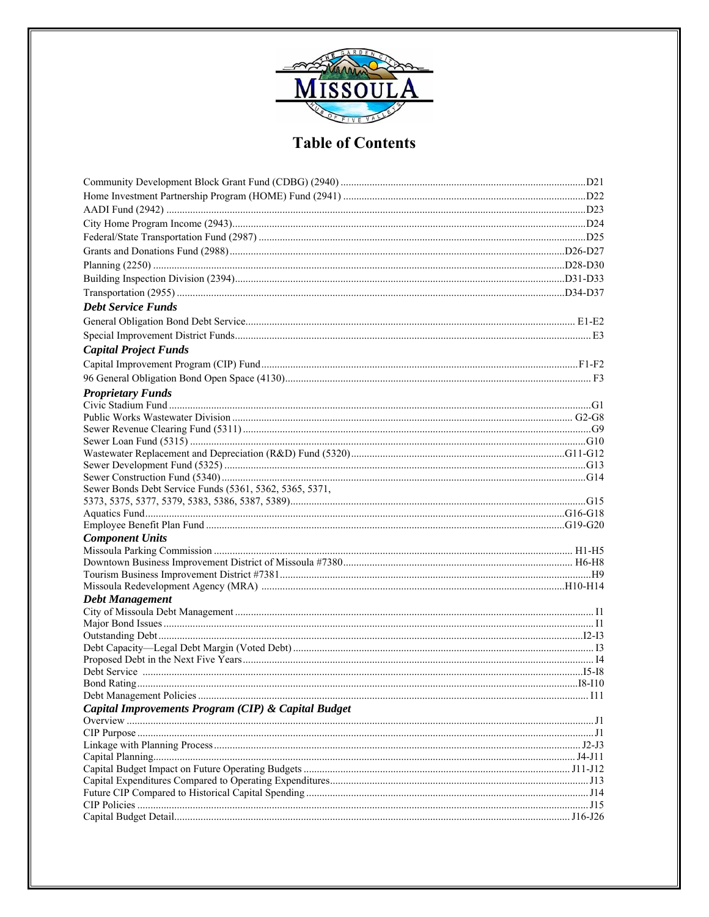

| <b>Debt Service Funds</b>                               |  |
|---------------------------------------------------------|--|
|                                                         |  |
|                                                         |  |
| <b>Capital Project Funds</b>                            |  |
|                                                         |  |
|                                                         |  |
| <b>Proprietary Funds</b>                                |  |
|                                                         |  |
|                                                         |  |
|                                                         |  |
|                                                         |  |
|                                                         |  |
|                                                         |  |
|                                                         |  |
| Sewer Bonds Debt Service Funds (5361, 5362, 5365, 5371, |  |
|                                                         |  |
|                                                         |  |
|                                                         |  |
| <b>Component Units</b>                                  |  |
|                                                         |  |
|                                                         |  |
|                                                         |  |
| <b>Debt Management</b>                                  |  |
|                                                         |  |
|                                                         |  |
|                                                         |  |
|                                                         |  |
|                                                         |  |
|                                                         |  |
|                                                         |  |
|                                                         |  |
| Capital Improvements Program (CIP) & Capital Budget     |  |
|                                                         |  |
|                                                         |  |
|                                                         |  |
|                                                         |  |
|                                                         |  |
|                                                         |  |
|                                                         |  |
|                                                         |  |
|                                                         |  |